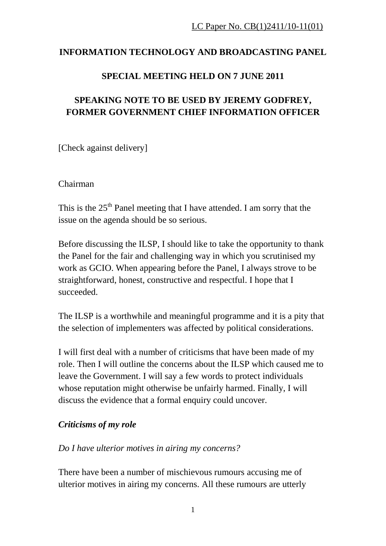# **INFORMATION TECHNOLOGY AND BROADCASTING PANEL**

## **SPECIAL MEETING HELD ON 7 JUNE 2011**

# **SPEAKING NOTE TO BE USED BY JEREMY GODFREY, FORMER GOVERNMENT CHIEF INFORMATION OFFICER**

[Check against delivery]

Chairman

This is the  $25<sup>th</sup>$  Panel meeting that I have attended. I am sorry that the issue on the agenda should be so serious.

Before discussing the ILSP, I should like to take the opportunity to thank the Panel for the fair and challenging way in which you scrutinised my work as GCIO. When appearing before the Panel, I always strove to be straightforward, honest, constructive and respectful. I hope that I succeeded.

The ILSP is a worthwhile and meaningful programme and it is a pity that the selection of implementers was affected by political considerations.

I will first deal with a number of criticisms that have been made of my role. Then I will outline the concerns about the ILSP which caused me to leave the Government. I will say a few words to protect individuals whose reputation might otherwise be unfairly harmed. Finally, I will discuss the evidence that a formal enquiry could uncover.

#### *Criticisms of my role*

#### *Do I have ulterior motives in airing my concerns?*

There have been a number of mischievous rumours accusing me of ulterior motives in airing my concerns. All these rumours are utterly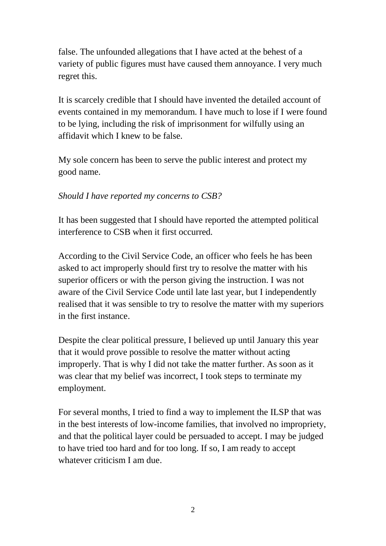false. The unfounded allegations that I have acted at the behest of a variety of public figures must have caused them annoyance. I very much regret this.

It is scarcely credible that I should have invented the detailed account of events contained in my memorandum. I have much to lose if I were found to be lying, including the risk of imprisonment for wilfully using an affidavit which I knew to be false.

My sole concern has been to serve the public interest and protect my good name.

### *Should I have reported my concerns to CSB?*

It has been suggested that I should have reported the attempted political interference to CSB when it first occurred.

According to the Civil Service Code, an officer who feels he has been asked to act improperly should first try to resolve the matter with his superior officers or with the person giving the instruction. I was not aware of the Civil Service Code until late last year, but I independently realised that it was sensible to try to resolve the matter with my superiors in the first instance.

Despite the clear political pressure, I believed up until January this year that it would prove possible to resolve the matter without acting improperly. That is why I did not take the matter further. As soon as it was clear that my belief was incorrect, I took steps to terminate my employment.

For several months, I tried to find a way to implement the ILSP that was in the best interests of low-income families, that involved no impropriety, and that the political layer could be persuaded to accept. I may be judged to have tried too hard and for too long. If so, I am ready to accept whatever criticism I am due.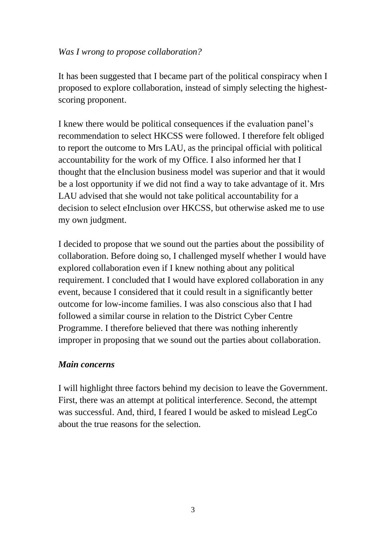### *Was I wrong to propose collaboration?*

It has been suggested that I became part of the political conspiracy when I proposed to explore collaboration, instead of simply selecting the highestscoring proponent.

I knew there would be political consequences if the evaluation panel"s recommendation to select HKCSS were followed. I therefore felt obliged to report the outcome to Mrs LAU, as the principal official with political accountability for the work of my Office. I also informed her that I thought that the eInclusion business model was superior and that it would be a lost opportunity if we did not find a way to take advantage of it. Mrs LAU advised that she would not take political accountability for a decision to select eInclusion over HKCSS, but otherwise asked me to use my own judgment.

I decided to propose that we sound out the parties about the possibility of collaboration. Before doing so, I challenged myself whether I would have explored collaboration even if I knew nothing about any political requirement. I concluded that I would have explored collaboration in any event, because I considered that it could result in a significantly better outcome for low-income families. I was also conscious also that I had followed a similar course in relation to the District Cyber Centre Programme. I therefore believed that there was nothing inherently improper in proposing that we sound out the parties about collaboration.

### *Main concerns*

I will highlight three factors behind my decision to leave the Government. First, there was an attempt at political interference. Second, the attempt was successful. And, third, I feared I would be asked to mislead LegCo about the true reasons for the selection.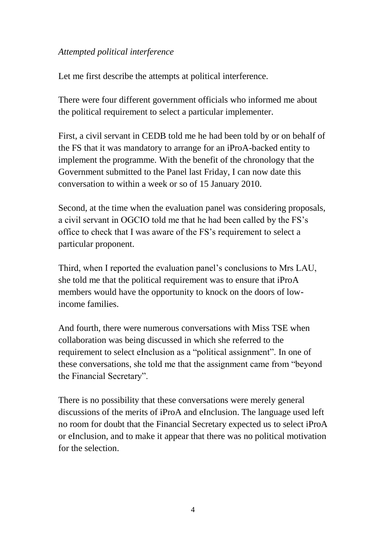### *Attempted political interference*

Let me first describe the attempts at political interference.

There were four different government officials who informed me about the political requirement to select a particular implementer.

First, a civil servant in CEDB told me he had been told by or on behalf of the FS that it was mandatory to arrange for an iProA-backed entity to implement the programme. With the benefit of the chronology that the Government submitted to the Panel last Friday, I can now date this conversation to within a week or so of 15 January 2010.

Second, at the time when the evaluation panel was considering proposals, a civil servant in OGCIO told me that he had been called by the FS"s office to check that I was aware of the FS"s requirement to select a particular proponent.

Third, when I reported the evaluation panel"s conclusions to Mrs LAU, she told me that the political requirement was to ensure that iProA members would have the opportunity to knock on the doors of lowincome families.

And fourth, there were numerous conversations with Miss TSE when collaboration was being discussed in which she referred to the requirement to select eInclusion as a "political assignment". In one of these conversations, she told me that the assignment came from "beyond the Financial Secretary".

There is no possibility that these conversations were merely general discussions of the merits of iProA and eInclusion. The language used left no room for doubt that the Financial Secretary expected us to select iProA or eInclusion, and to make it appear that there was no political motivation for the selection.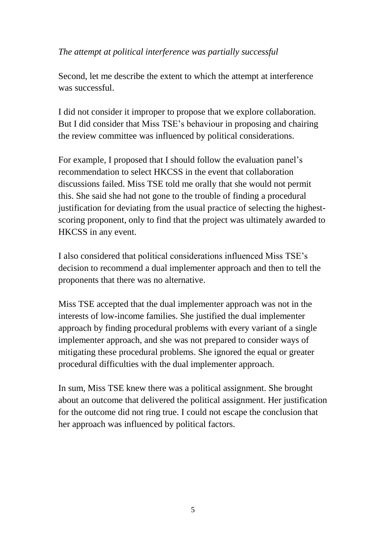### *The attempt at political interference was partially successful*

Second, let me describe the extent to which the attempt at interference was successful.

I did not consider it improper to propose that we explore collaboration. But I did consider that Miss TSE"s behaviour in proposing and chairing the review committee was influenced by political considerations.

For example, I proposed that I should follow the evaluation panel's recommendation to select HKCSS in the event that collaboration discussions failed. Miss TSE told me orally that she would not permit this. She said she had not gone to the trouble of finding a procedural justification for deviating from the usual practice of selecting the highestscoring proponent, only to find that the project was ultimately awarded to HKCSS in any event.

I also considered that political considerations influenced Miss TSE"s decision to recommend a dual implementer approach and then to tell the proponents that there was no alternative.

Miss TSE accepted that the dual implementer approach was not in the interests of low-income families. She justified the dual implementer approach by finding procedural problems with every variant of a single implementer approach, and she was not prepared to consider ways of mitigating these procedural problems. She ignored the equal or greater procedural difficulties with the dual implementer approach.

In sum, Miss TSE knew there was a political assignment. She brought about an outcome that delivered the political assignment. Her justification for the outcome did not ring true. I could not escape the conclusion that her approach was influenced by political factors.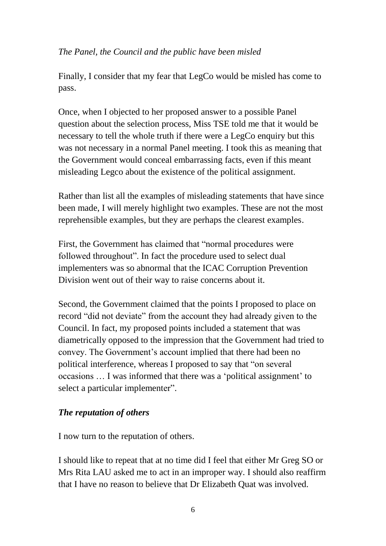### *The Panel, the Council and the public have been misled*

Finally, I consider that my fear that LegCo would be misled has come to pass.

Once, when I objected to her proposed answer to a possible Panel question about the selection process, Miss TSE told me that it would be necessary to tell the whole truth if there were a LegCo enquiry but this was not necessary in a normal Panel meeting. I took this as meaning that the Government would conceal embarrassing facts, even if this meant misleading Legco about the existence of the political assignment.

Rather than list all the examples of misleading statements that have since been made, I will merely highlight two examples. These are not the most reprehensible examples, but they are perhaps the clearest examples.

First, the Government has claimed that "normal procedures were followed throughout". In fact the procedure used to select dual implementers was so abnormal that the ICAC Corruption Prevention Division went out of their way to raise concerns about it.

Second, the Government claimed that the points I proposed to place on record "did not deviate" from the account they had already given to the Council. In fact, my proposed points included a statement that was diametrically opposed to the impression that the Government had tried to convey. The Government's account implied that there had been no political interference, whereas I proposed to say that "on several occasions … I was informed that there was a "political assignment" to select a particular implementer".

#### *The reputation of others*

I now turn to the reputation of others.

I should like to repeat that at no time did I feel that either Mr Greg SO or Mrs Rita LAU asked me to act in an improper way. I should also reaffirm that I have no reason to believe that Dr Elizabeth Quat was involved.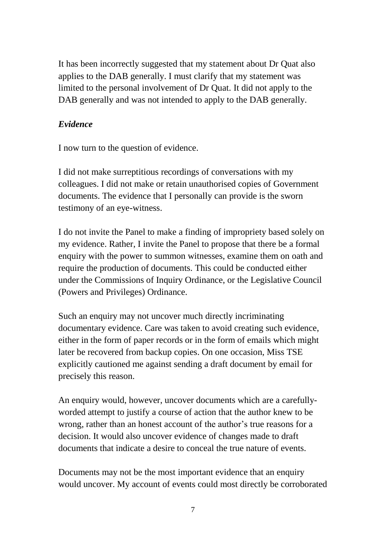It has been incorrectly suggested that my statement about Dr Quat also applies to the DAB generally. I must clarify that my statement was limited to the personal involvement of Dr Quat. It did not apply to the DAB generally and was not intended to apply to the DAB generally.

### *Evidence*

I now turn to the question of evidence.

I did not make surreptitious recordings of conversations with my colleagues. I did not make or retain unauthorised copies of Government documents. The evidence that I personally can provide is the sworn testimony of an eye-witness.

I do not invite the Panel to make a finding of impropriety based solely on my evidence. Rather, I invite the Panel to propose that there be a formal enquiry with the power to summon witnesses, examine them on oath and require the production of documents. This could be conducted either under the Commissions of Inquiry Ordinance, or the Legislative Council (Powers and Privileges) Ordinance.

Such an enquiry may not uncover much directly incriminating documentary evidence. Care was taken to avoid creating such evidence, either in the form of paper records or in the form of emails which might later be recovered from backup copies. On one occasion, Miss TSE explicitly cautioned me against sending a draft document by email for precisely this reason.

An enquiry would, however, uncover documents which are a carefullyworded attempt to justify a course of action that the author knew to be wrong, rather than an honest account of the author's true reasons for a decision. It would also uncover evidence of changes made to draft documents that indicate a desire to conceal the true nature of events.

Documents may not be the most important evidence that an enquiry would uncover. My account of events could most directly be corroborated